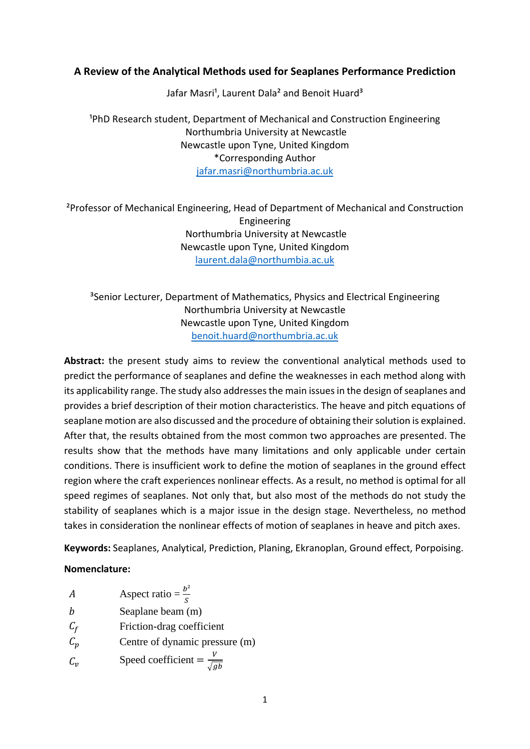## **A Review of the Analytical Methods used for Seaplanes Performance Prediction**

Jafar Masri<sup>1</sup>, Laurent Dala<sup>2</sup> and Benoit Huard<sup>3</sup>

<sup>1</sup>PhD Research student, Department of Mechanical and Construction Engineering Northumbria University at Newcastle Newcastle upon Tyne, United Kingdom \*Corresponding Author [jafar.masri@northumbria.ac.uk](mailto:jafar.masri@northumbria.ac.uk)

²Professor of Mechanical Engineering, Head of Department of Mechanical and Construction Engineering Northumbria University at Newcastle Newcastle upon Tyne, United Kingdom [laurent.dala@northumbia.ac.uk](mailto:laurent.dala@northumbia.ac.uk)

<sup>3</sup>Senior Lecturer, Department of Mathematics, Physics and Electrical Engineering Northumbria University at Newcastle Newcastle upon Tyne, United Kingdom [benoit.huard@northumbria.ac.uk](mailto:benoit.huard@northumbria.ac.uk)

**Abstract:** the present study aims to review the conventional analytical methods used to predict the performance of seaplanes and define the weaknesses in each method along with its applicability range. The study also addresses the main issues in the design of seaplanes and provides a brief description of their motion characteristics. The heave and pitch equations of seaplane motion are also discussed and the procedure of obtaining their solution is explained. After that, the results obtained from the most common two approaches are presented. The results show that the methods have many limitations and only applicable under certain conditions. There is insufficient work to define the motion of seaplanes in the ground effect region where the craft experiences nonlinear effects. As a result, no method is optimal for all speed regimes of seaplanes. Not only that, but also most of the methods do not study the stability of seaplanes which is a major issue in the design stage. Nevertheless, no method takes in consideration the nonlinear effects of motion of seaplanes in heave and pitch axes.

**Keywords:** Seaplanes, Analytical, Prediction, Planing, Ekranoplan, Ground effect, Porpoising.

### **Nomenclature:**

| А               | Aspect ratio = $\frac{b^2}{s}$            |
|-----------------|-------------------------------------------|
|                 | Seaplane beam (m)                         |
| $C_f$           | Friction-drag coefficient                 |
| $\mathcal{C}_p$ | Centre of dynamic pressure (m)            |
| $C_{\nu}$       | Speed coefficient = $\frac{V}{\sqrt{gb}}$ |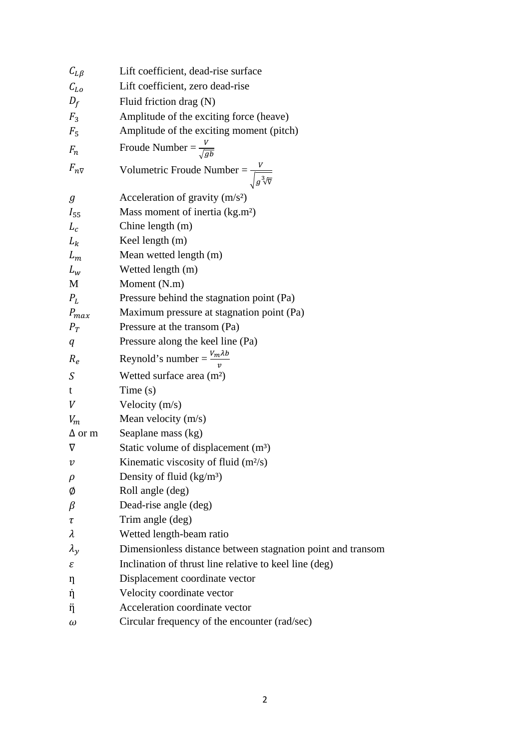| Lift coefficient, dead-rise surface                         |
|-------------------------------------------------------------|
| Lift coefficient, zero dead-rise                            |
| Fluid friction drag (N)                                     |
| Amplitude of the exciting force (heave)                     |
| Amplitude of the exciting moment (pitch)                    |
| Froude Number = $\frac{V}{\sqrt{gb}}$                       |
| Volumetric Froude Number = $\frac{v}{\sqrt{g^3/\nabla}}$    |
| Acceleration of gravity $(m/s2)$                            |
| Mass moment of inertia $(kg.m2)$                            |
| Chine length (m)                                            |
| Keel length (m)                                             |
| Mean wetted length (m)                                      |
| Wetted length (m)                                           |
| Moment (N.m)                                                |
| Pressure behind the stagnation point (Pa)                   |
| Maximum pressure at stagnation point (Pa)                   |
| Pressure at the transom (Pa)                                |
|                                                             |
| Pressure along the keel line (Pa)                           |
| Reynold's number = $\frac{V_m \lambda b}{v}$                |
| Wetted surface area (m <sup>2</sup> )                       |
| Time(s)                                                     |
| Velocity $(m/s)$                                            |
| Mean velocity $(m/s)$                                       |
| Seaplane mass (kg)                                          |
| Static volume of displacement $(m3)$                        |
| Kinematic viscosity of fluid (m <sup>2</sup> /s)            |
| Density of fluid $(kg/m3)$                                  |
| Roll angle (deg)                                            |
| Dead-rise angle (deg)                                       |
| Trim angle (deg)                                            |
| Wetted length-beam ratio                                    |
| Dimensionless distance between stagnation point and transom |
| Inclination of thrust line relative to keel line (deg)      |
| Displacement coordinate vector                              |
| Velocity coordinate vector                                  |
| Acceleration coordinate vector                              |
|                                                             |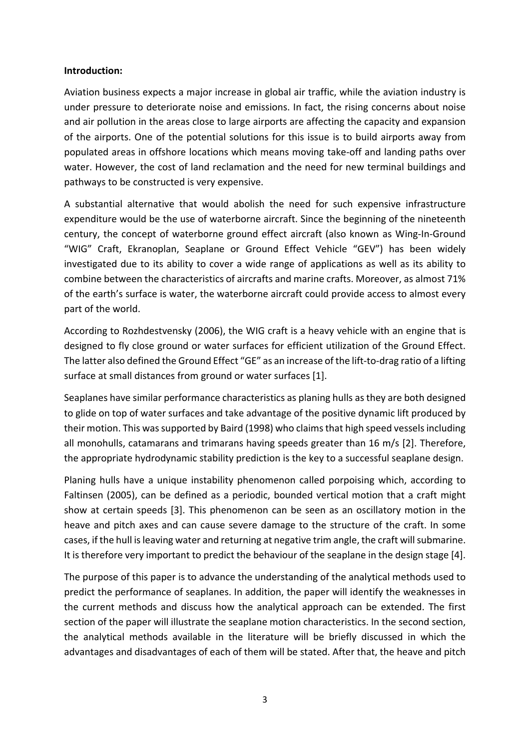### **Introduction:**

Aviation business expects a major increase in global air traffic, while the aviation industry is under pressure to deteriorate noise and emissions. In fact, the rising concerns about noise and air pollution in the areas close to large airports are affecting the capacity and expansion of the airports. One of the potential solutions for this issue is to build airports away from populated areas in offshore locations which means moving take-off and landing paths over water. However, the cost of land reclamation and the need for new terminal buildings and pathways to be constructed is very expensive.

A substantial alternative that would abolish the need for such expensive infrastructure expenditure would be the use of waterborne aircraft. Since the beginning of the nineteenth century, the concept of waterborne ground effect aircraft (also known as Wing-In-Ground "WIG" Craft, Ekranoplan, Seaplane or Ground Effect Vehicle "GEV") has been widely investigated due to its ability to cover a wide range of applications as well as its ability to combine between the characteristics of aircrafts and marine crafts. Moreover, as almost 71% of the earth's surface is water, the waterborne aircraft could provide access to almost every part of the world.

According to Rozhdestvensky (2006), the WIG craft is a heavy vehicle with an engine that is designed to fly close ground or water surfaces for efficient utilization of the Ground Effect. The latter also defined the Ground Effect "GE" as an increase of the lift-to-drag ratio of a lifting surface at small distances from ground or water surfaces [1].

Seaplanes have similar performance characteristics as planing hulls as they are both designed to glide on top of water surfaces and take advantage of the positive dynamic lift produced by their motion. This was supported by Baird (1998) who claims that high speed vessels including all monohulls, catamarans and trimarans having speeds greater than 16 m/s [2]. Therefore, the appropriate hydrodynamic stability prediction is the key to a successful seaplane design.

Planing hulls have a unique instability phenomenon called porpoising which, according to Faltinsen (2005), can be defined as a periodic, bounded vertical motion that a craft might show at certain speeds [3]. This phenomenon can be seen as an oscillatory motion in the heave and pitch axes and can cause severe damage to the structure of the craft. In some cases, if the hull is leaving water and returning at negative trim angle, the craft will submarine. It is therefore very important to predict the behaviour of the seaplane in the design stage [4].

The purpose of this paper is to advance the understanding of the analytical methods used to predict the performance of seaplanes. In addition, the paper will identify the weaknesses in the current methods and discuss how the analytical approach can be extended. The first section of the paper will illustrate the seaplane motion characteristics. In the second section, the analytical methods available in the literature will be briefly discussed in which the advantages and disadvantages of each of them will be stated. After that, the heave and pitch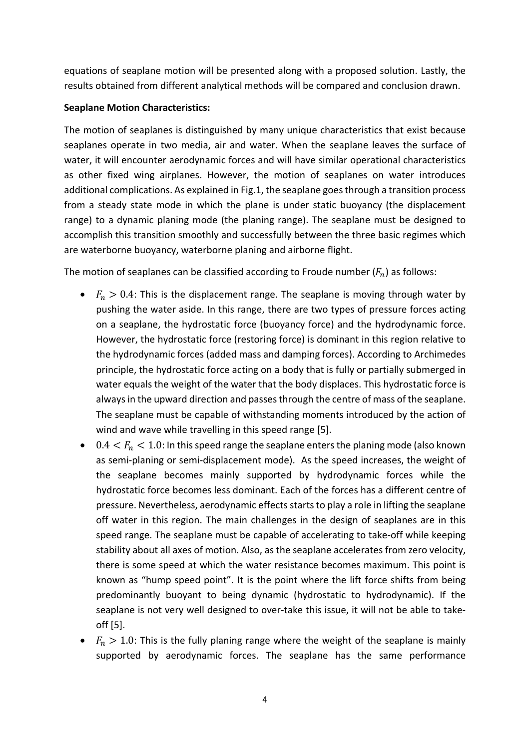equations of seaplane motion will be presented along with a proposed solution. Lastly, the results obtained from different analytical methods will be compared and conclusion drawn.

# **Seaplane Motion Characteristics:**

The motion of seaplanes is distinguished by many unique characteristics that exist because seaplanes operate in two media, air and water. When the seaplane leaves the surface of water, it will encounter aerodynamic forces and will have similar operational characteristics as other fixed wing airplanes. However, the motion of seaplanes on water introduces additional complications. As explained in Fig.1, the seaplane goes through a transition process from a steady state mode in which the plane is under static buoyancy (the displacement range) to a dynamic planing mode (the planing range). The seaplane must be designed to accomplish this transition smoothly and successfully between the three basic regimes which are waterborne buoyancy, waterborne planing and airborne flight.

The motion of seaplanes can be classified according to Froude number  $(F_n)$  as follows:

- $F_n > 0.4$ : This is the displacement range. The seaplane is moving through water by pushing the water aside. In this range, there are two types of pressure forces acting on a seaplane, the hydrostatic force (buoyancy force) and the hydrodynamic force. However, the hydrostatic force (restoring force) is dominant in this region relative to the hydrodynamic forces (added mass and damping forces). According to Archimedes principle, the hydrostatic force acting on a body that is fully or partially submerged in water equals the weight of the water that the body displaces. This hydrostatic force is always in the upward direction and passes through the centre of mass of the seaplane. The seaplane must be capable of withstanding moments introduced by the action of wind and wave while travelling in this speed range [5].
- 0.4  $\lt F_n$   $\lt$  1.0: In this speed range the seaplane enters the planing mode (also known as semi-planing or semi-displacement mode). As the speed increases, the weight of the seaplane becomes mainly supported by hydrodynamic forces while the hydrostatic force becomes less dominant. Each of the forces has a different centre of pressure. Nevertheless, aerodynamic effects starts to play a role in lifting the seaplane off water in this region. The main challenges in the design of seaplanes are in this speed range. The seaplane must be capable of accelerating to take-off while keeping stability about all axes of motion. Also, as the seaplane accelerates from zero velocity, there is some speed at which the water resistance becomes maximum. This point is known as "hump speed point". It is the point where the lift force shifts from being predominantly buoyant to being dynamic (hydrostatic to hydrodynamic). If the seaplane is not very well designed to over-take this issue, it will not be able to takeoff [5].
- $F_n > 1.0$ : This is the fully planing range where the weight of the seaplane is mainly supported by aerodynamic forces. The seaplane has the same performance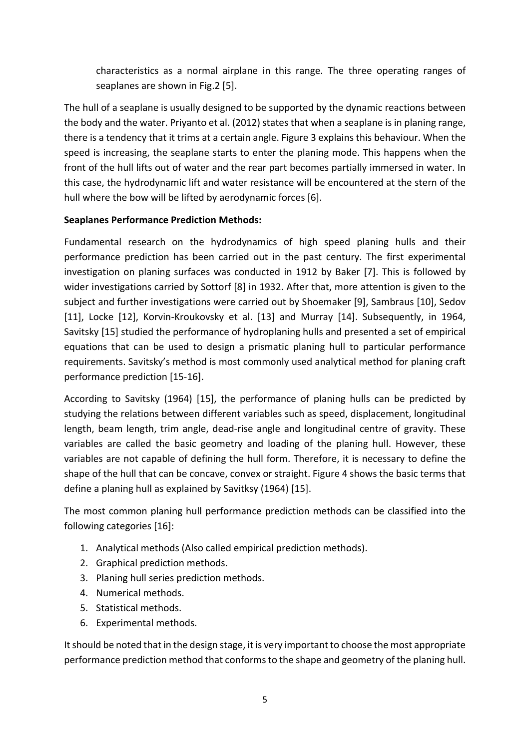characteristics as a normal airplane in this range. The three operating ranges of seaplanes are shown in Fig.2 [5].

The hull of a seaplane is usually designed to be supported by the dynamic reactions between the body and the water. Priyanto et al. (2012) states that when a seaplane is in planing range, there is a tendency that it trims at a certain angle. Figure 3 explains this behaviour. When the speed is increasing, the seaplane starts to enter the planing mode. This happens when the front of the hull lifts out of water and the rear part becomes partially immersed in water. In this case, the hydrodynamic lift and water resistance will be encountered at the stern of the hull where the bow will be lifted by aerodynamic forces [6].

## **Seaplanes Performance Prediction Methods:**

Fundamental research on the hydrodynamics of high speed planing hulls and their performance prediction has been carried out in the past century. The first experimental investigation on planing surfaces was conducted in 1912 by Baker [7]. This is followed by wider investigations carried by Sottorf [8] in 1932. After that, more attention is given to the subject and further investigations were carried out by Shoemaker [9], Sambraus [10], Sedov [11], Locke [12], Korvin-Kroukovsky et al. [13] and Murray [14]. Subsequently, in 1964, Savitsky [15] studied the performance of hydroplaning hulls and presented a set of empirical equations that can be used to design a prismatic planing hull to particular performance requirements. Savitsky's method is most commonly used analytical method for planing craft performance prediction [15-16].

According to Savitsky (1964) [15], the performance of planing hulls can be predicted by studying the relations between different variables such as speed, displacement, longitudinal length, beam length, trim angle, dead-rise angle and longitudinal centre of gravity. These variables are called the basic geometry and loading of the planing hull. However, these variables are not capable of defining the hull form. Therefore, it is necessary to define the shape of the hull that can be concave, convex or straight. Figure 4 shows the basic terms that define a planing hull as explained by Savitksy (1964) [15].

The most common planing hull performance prediction methods can be classified into the following categories [16]:

- 1. Analytical methods (Also called empirical prediction methods).
- 2. Graphical prediction methods.
- 3. Planing hull series prediction methods.
- 4. Numerical methods.
- 5. Statistical methods.
- 6. Experimental methods.

It should be noted that in the design stage, it is very important to choose the most appropriate performance prediction method that conforms to the shape and geometry of the planing hull.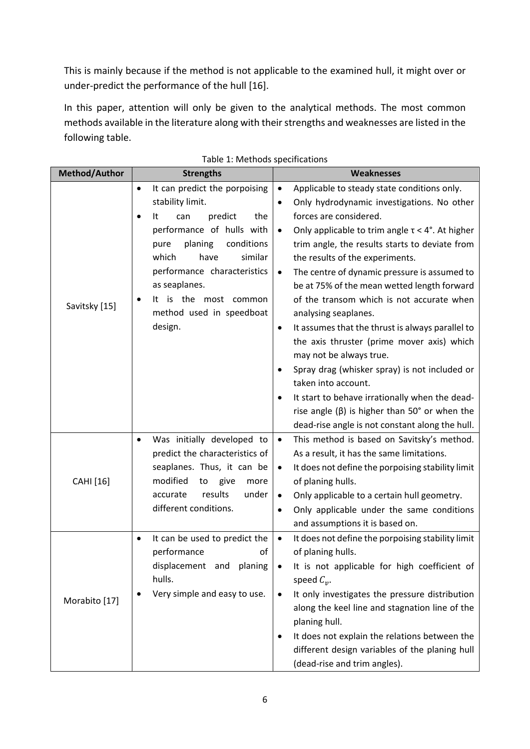This is mainly because if the method is not applicable to the examined hull, it might over or under-predict the performance of the hull [16].

In this paper, attention will only be given to the analytical methods. The most common methods available in the literature along with their strengths and weaknesses are listed in the following table.

| Method/Author | <b>Strengths</b>                                                                                                                                                                                          | <b>Weaknesses</b>                                                                                                                                                                                                                                                                                                                                                                                                                                                                                                                                                                                                                                                                                                     |
|---------------|-----------------------------------------------------------------------------------------------------------------------------------------------------------------------------------------------------------|-----------------------------------------------------------------------------------------------------------------------------------------------------------------------------------------------------------------------------------------------------------------------------------------------------------------------------------------------------------------------------------------------------------------------------------------------------------------------------------------------------------------------------------------------------------------------------------------------------------------------------------------------------------------------------------------------------------------------|
|               | It can predict the porpoising<br>$\bullet$<br>stability limit.<br>predict<br>the<br>can<br>It                                                                                                             | Applicable to steady state conditions only.<br>$\bullet$<br>Only hydrodynamic investigations. No other<br>٠<br>forces are considered.                                                                                                                                                                                                                                                                                                                                                                                                                                                                                                                                                                                 |
| Savitsky [15] | performance of hulls with<br>planing<br>conditions<br>pure<br>similar<br>which<br>have<br>performance characteristics<br>as seaplanes.<br>is the most common<br>It<br>method used in speedboat<br>design. | Only applicable to trim angle $\tau < 4^{\circ}$ . At higher<br>$\bullet$<br>trim angle, the results starts to deviate from<br>the results of the experiments.<br>The centre of dynamic pressure is assumed to<br>$\bullet$<br>be at 75% of the mean wetted length forward<br>of the transom which is not accurate when<br>analysing seaplanes.<br>It assumes that the thrust is always parallel to<br>٠<br>the axis thruster (prime mover axis) which<br>may not be always true.<br>Spray drag (whisker spray) is not included or<br>taken into account.<br>It start to behave irrationally when the dead-<br>rise angle $(\beta)$ is higher than 50° or when the<br>dead-rise angle is not constant along the hull. |
| CAHI [16]     | Was initially developed to<br>$\bullet$<br>predict the characteristics of<br>seaplanes. Thus, it can be<br>modified<br>to<br>give<br>more<br>results<br>under<br>accurate<br>different conditions.        | This method is based on Savitsky's method.<br>$\bullet$<br>As a result, it has the same limitations.<br>It does not define the porpoising stability limit<br>$\bullet$<br>of planing hulls.<br>Only applicable to a certain hull geometry.<br>$\bullet$<br>Only applicable under the same conditions<br>$\bullet$<br>and assumptions it is based on.                                                                                                                                                                                                                                                                                                                                                                  |
| Morabito [17] | It can be used to predict the<br>$\bullet$<br>performance<br>οf<br>displacement and planing<br>hulls.<br>Very simple and easy to use.                                                                     | It does not define the porpoising stability limit<br>$\bullet$<br>of planing hulls.<br>It is not applicable for high coefficient of<br>speed $C_v$ .<br>It only investigates the pressure distribution<br>٠<br>along the keel line and stagnation line of the<br>planing hull.<br>It does not explain the relations between the<br>different design variables of the planing hull<br>(dead-rise and trim angles).                                                                                                                                                                                                                                                                                                     |

#### Table 1: Methods specifications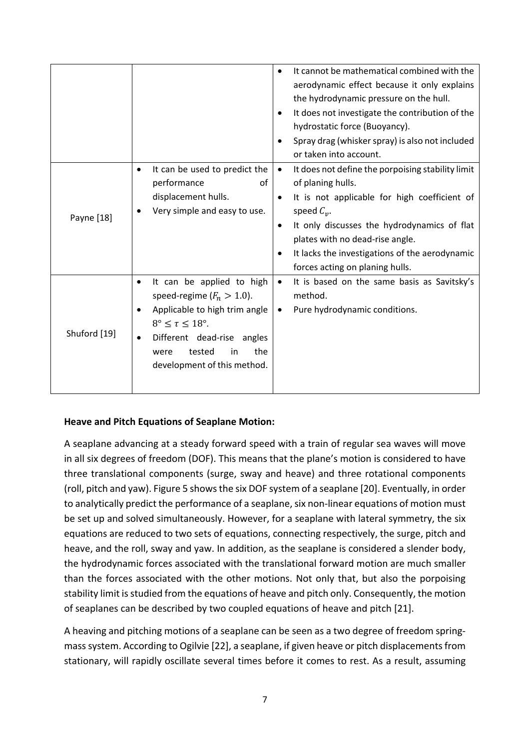|              |                                                                                                                                                                                                                                                          | It cannot be mathematical combined with the<br>$\bullet$<br>aerodynamic effect because it only explains<br>the hydrodynamic pressure on the hull.<br>It does not investigate the contribution of the<br>٠<br>hydrostatic force (Buoyancy).<br>Spray drag (whisker spray) is also not included<br>or taken into account.                               |
|--------------|----------------------------------------------------------------------------------------------------------------------------------------------------------------------------------------------------------------------------------------------------------|-------------------------------------------------------------------------------------------------------------------------------------------------------------------------------------------------------------------------------------------------------------------------------------------------------------------------------------------------------|
| Payne [18]   | It can be used to predict the<br>٠<br>performance<br>of<br>displacement hulls.<br>Very simple and easy to use.                                                                                                                                           | It does not define the porpoising stability limit<br>$\bullet$<br>of planing hulls.<br>It is not applicable for high coefficient of<br>$\bullet$<br>speed $C_v$ .<br>It only discusses the hydrodynamics of flat<br>$\bullet$<br>plates with no dead-rise angle.<br>It lacks the investigations of the aerodynamic<br>forces acting on planing hulls. |
| Shuford [19] | It can be applied to high<br>$\bullet$<br>speed-regime ( $F_n > 1.0$ ).<br>Applicable to high trim angle<br>$\bullet$<br>$8^\circ \leq \tau \leq 18^\circ$ .<br>Different dead-rise angles<br>the<br>tested<br>in<br>were<br>development of this method. | It is based on the same basis as Savitsky's<br>$\bullet$<br>method.<br>Pure hydrodynamic conditions.<br>$\bullet$                                                                                                                                                                                                                                     |

## **Heave and Pitch Equations of Seaplane Motion:**

A seaplane advancing at a steady forward speed with a train of regular sea waves will move in all six degrees of freedom (DOF). This means that the plane's motion is considered to have three translational components (surge, sway and heave) and three rotational components (roll, pitch and yaw). Figure 5 shows the six DOF system of a seaplane [20]. Eventually, in order to analytically predict the performance of a seaplane, six non-linear equations of motion must be set up and solved simultaneously. However, for a seaplane with lateral symmetry, the six equations are reduced to two sets of equations, connecting respectively, the surge, pitch and heave, and the roll, sway and yaw. In addition, as the seaplane is considered a slender body, the hydrodynamic forces associated with the translational forward motion are much smaller than the forces associated with the other motions. Not only that, but also the porpoising stability limit is studied from the equations of heave and pitch only. Consequently, the motion of seaplanes can be described by two coupled equations of heave and pitch [21].

A heaving and pitching motions of a seaplane can be seen as a two degree of freedom springmass system. According to Ogilvie [22], a seaplane, if given heave or pitch displacements from stationary, will rapidly oscillate several times before it comes to rest. As a result, assuming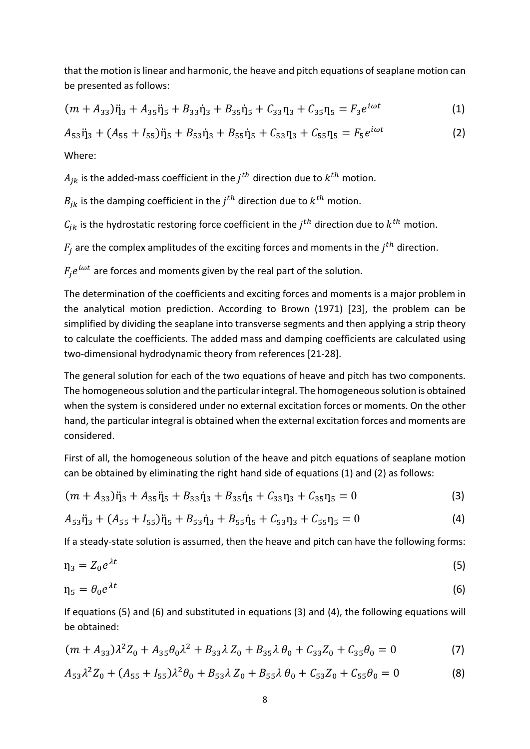that the motion is linear and harmonic, the heave and pitch equations of seaplane motion can be presented as follows:

$$
(m + A_{33})\ddot{\eta}_3 + A_{35}\ddot{\eta}_5 + B_{33}\dot{\eta}_3 + B_{35}\dot{\eta}_5 + C_{33}\eta_3 + C_{35}\eta_5 = F_3e^{i\omega t}
$$
 (1)

 $A_{53}\ddot{\eta}_3 + (A_{55} + I_{55})\ddot{\eta}_5 + B_{53}\dot{\eta}_3 + B_{55}\dot{\eta}_5 + C_{53}\eta_3 + C_{55}\eta_5 = F_5e^{i\omega t}$  (2) Where:

 $A_{ik}$  is the added-mass coefficient in the  $j<sup>th</sup>$  direction due to  $k<sup>th</sup>$  motion.

 $B_{ik}$  is the damping coefficient in the  $j<sup>th</sup>$  direction due to  $k<sup>th</sup>$  motion.

 $C_{ik}$  is the hydrostatic restoring force coefficient in the  $j<sup>th</sup>$  direction due to  $k<sup>th</sup>$  motion.

 $F_i$  are the complex amplitudes of the exciting forces and moments in the  $j^{th}$  direction.

 $F_i e^{i\omega t}$  are forces and moments given by the real part of the solution.

The determination of the coefficients and exciting forces and moments is a major problem in the analytical motion prediction. According to Brown (1971) [23], the problem can be simplified by dividing the seaplane into transverse segments and then applying a strip theory to calculate the coefficients. The added mass and damping coefficients are calculated using two-dimensional hydrodynamic theory from references [21-28].

The general solution for each of the two equations of heave and pitch has two components. The homogeneous solution and the particular integral. The homogeneous solution is obtained when the system is considered under no external excitation forces or moments. On the other hand, the particular integral is obtained when the external excitation forces and moments are considered.

First of all, the homogeneous solution of the heave and pitch equations of seaplane motion can be obtained by eliminating the right hand side of equations (1) and (2) as follows:

$$
(m + A_{33})\ddot{\eta}_3 + A_{35}\ddot{\eta}_5 + B_{33}\dot{\eta}_3 + B_{35}\dot{\eta}_5 + C_{33}\eta_3 + C_{35}\eta_5 = 0
$$
\n(3)

$$
A_{53}\ddot{\eta}_3 + (A_{55} + I_{55})\ddot{\eta}_5 + B_{53}\dot{\eta}_3 + B_{55}\dot{\eta}_5 + C_{53}\eta_3 + C_{55}\eta_5 = 0
$$
\n(4)

If a steady-state solution is assumed, then the heave and pitch can have the following forms:

$$
\eta_3 = Z_0 e^{\lambda t} \tag{5}
$$

$$
\eta_5 = \theta_0 e^{\lambda t} \tag{6}
$$

If equations (5) and (6) and substituted in equations (3) and (4), the following equations will be obtained:

$$
(m + A_{33})\lambda^2 Z_0 + A_{35}\theta_0 \lambda^2 + B_{33}\lambda Z_0 + B_{35}\lambda \theta_0 + C_{33}Z_0 + C_{35}\theta_0 = 0
$$
 (7)

$$
A_{53}\lambda^2 Z_0 + (A_{55} + I_{55})\lambda^2 \theta_0 + B_{53}\lambda Z_0 + B_{55}\lambda \theta_0 + C_{53}Z_0 + C_{55}\theta_0 = 0
$$
 (8)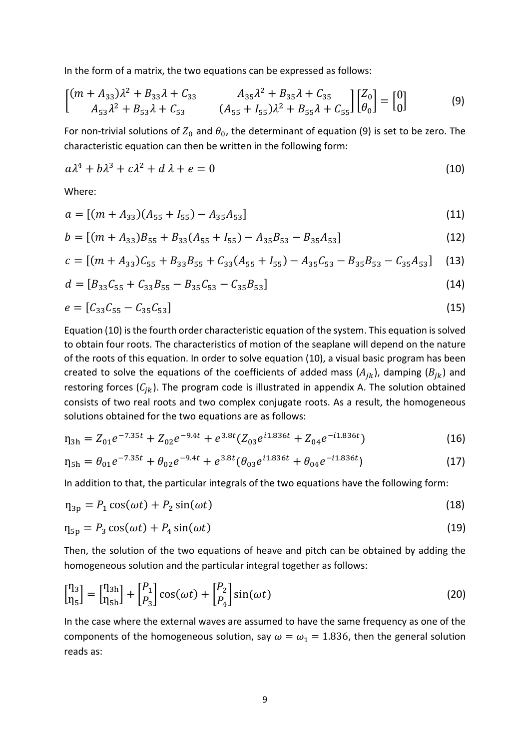In the form of a matrix, the two equations can be expressed as follows:

$$
\begin{bmatrix} (m + A_{33})\lambda^2 + B_{33}\lambda + C_{33} & A_{35}\lambda^2 + B_{35}\lambda + C_{35} \\ A_{53}\lambda^2 + B_{53}\lambda + C_{53} & (A_{55} + I_{55})\lambda^2 + B_{55}\lambda + C_{55} \end{bmatrix} \begin{bmatrix} Z_0 \\ \theta_0 \end{bmatrix} = \begin{bmatrix} 0 \\ 0 \end{bmatrix}
$$
 (9)

For non-trivial solutions of  $Z_0$  and  $\theta_0$ , the determinant of equation (9) is set to be zero. The characteristic equation can then be written in the following form:

$$
a\lambda^4 + b\lambda^3 + c\lambda^2 + d\lambda + e = 0 \tag{10}
$$

Where:

$$
a = [(m + A_{33})(A_{55} + I_{55}) - A_{35}A_{53}]
$$
\n(11)

$$
b = [(m + A_{33})B_{55} + B_{33}(A_{55} + I_{55}) - A_{35}B_{53} - B_{35}A_{53}]
$$
\n(12)

$$
c = [(m + A_{33})C_{55} + B_{33}B_{55} + C_{33}(A_{55} + I_{55}) - A_{35}C_{53} - B_{35}B_{53} - C_{35}A_{53}] \tag{13}
$$

$$
d = [B_{33}C_{55} + C_{33}B_{55} - B_{35}C_{53} - C_{35}B_{53}] \tag{14}
$$

$$
e = [C_{33}C_{55} - C_{35}C_{53}] \tag{15}
$$

Equation (10) is the fourth order characteristic equation of the system. This equation is solved to obtain four roots. The characteristics of motion of the seaplane will depend on the nature of the roots of this equation. In order to solve equation (10), a visual basic program has been created to solve the equations of the coefficients of added mass  $(A_{ik})$ , damping  $(B_{ik})$  and restoring forces  $(C_{ik})$ . The program code is illustrated in appendix A. The solution obtained consists of two real roots and two complex conjugate roots. As a result, the homogeneous solutions obtained for the two equations are as follows:

$$
\eta_{3h} = Z_{01}e^{-7.35t} + Z_{02}e^{-9.4t} + e^{3.8t}(Z_{03}e^{i1.836t} + Z_{04}e^{-i1.836t})
$$
\n(16)

$$
\eta_{5h} = \theta_{01} e^{-7.35t} + \theta_{02} e^{-9.4t} + e^{3.8t} (\theta_{03} e^{i1.836t} + \theta_{04} e^{-i1.836t})
$$
\n(17)

In addition to that, the particular integrals of the two equations have the following form:

$$
\eta_{3p} = P_1 \cos(\omega t) + P_2 \sin(\omega t) \tag{18}
$$

$$
\eta_{5p} = P_3 \cos(\omega t) + P_4 \sin(\omega t) \tag{19}
$$

Then, the solution of the two equations of heave and pitch can be obtained by adding the homogeneous solution and the particular integral together as follows:

$$
\begin{bmatrix} \n\eta_3 \\ \n\eta_5 \n\end{bmatrix} = \n\begin{bmatrix} \n\eta_{3h} \\ \n\eta_{5h} \n\end{bmatrix} + \n\begin{bmatrix} P_1 \\ P_2 \\ P_3 \n\end{bmatrix} \cos(\omega t) + \n\begin{bmatrix} P_2 \\ P_4 \n\end{bmatrix} \sin(\omega t)
$$
\n(20)

In the case where the external waves are assumed to have the same frequency as one of the components of the homogeneous solution, say  $\omega = \omega_1 = 1.836$ , then the general solution reads as: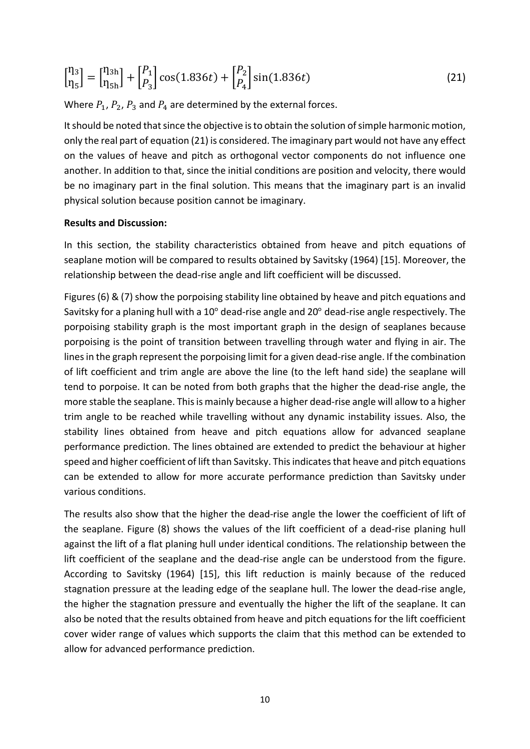$$
\begin{bmatrix} \eta_3 \\ \eta_5 \end{bmatrix} = \begin{bmatrix} \eta_{3h} \\ \eta_{5h} \end{bmatrix} + \begin{bmatrix} P_1 \\ P_3 \end{bmatrix} \cos(1.836t) + \begin{bmatrix} P_2 \\ P_4 \end{bmatrix} \sin(1.836t) \tag{21}
$$

Where  $P_1$ ,  $P_2$ ,  $P_3$  and  $P_4$  are determined by the external forces.

It should be noted that since the objective is to obtain the solution of simple harmonic motion, only the real part of equation (21) is considered. The imaginary part would not have any effect on the values of heave and pitch as orthogonal vector components do not influence one another. In addition to that, since the initial conditions are position and velocity, there would be no imaginary part in the final solution. This means that the imaginary part is an invalid physical solution because position cannot be imaginary.

#### **Results and Discussion:**

In this section, the stability characteristics obtained from heave and pitch equations of seaplane motion will be compared to results obtained by Savitsky (1964) [15]. Moreover, the relationship between the dead-rise angle and lift coefficient will be discussed.

Figures (6) & (7) show the porpoising stability line obtained by heave and pitch equations and Savitsky for a planing hull with a 10° dead-rise angle and 20° dead-rise angle respectively. The porpoising stability graph is the most important graph in the design of seaplanes because porpoising is the point of transition between travelling through water and flying in air. The lines in the graph represent the porpoising limit for a given dead-rise angle. If the combination of lift coefficient and trim angle are above the line (to the left hand side) the seaplane will tend to porpoise. It can be noted from both graphs that the higher the dead-rise angle, the more stable the seaplane. This is mainly because a higher dead-rise angle will allow to a higher trim angle to be reached while travelling without any dynamic instability issues. Also, the stability lines obtained from heave and pitch equations allow for advanced seaplane performance prediction. The lines obtained are extended to predict the behaviour at higher speed and higher coefficient of lift than Savitsky. This indicates that heave and pitch equations can be extended to allow for more accurate performance prediction than Savitsky under various conditions.

The results also show that the higher the dead-rise angle the lower the coefficient of lift of the seaplane. Figure (8) shows the values of the lift coefficient of a dead-rise planing hull against the lift of a flat planing hull under identical conditions. The relationship between the lift coefficient of the seaplane and the dead-rise angle can be understood from the figure. According to Savitsky (1964) [15], this lift reduction is mainly because of the reduced stagnation pressure at the leading edge of the seaplane hull. The lower the dead-rise angle, the higher the stagnation pressure and eventually the higher the lift of the seaplane. It can also be noted that the results obtained from heave and pitch equations for the lift coefficient cover wider range of values which supports the claim that this method can be extended to allow for advanced performance prediction.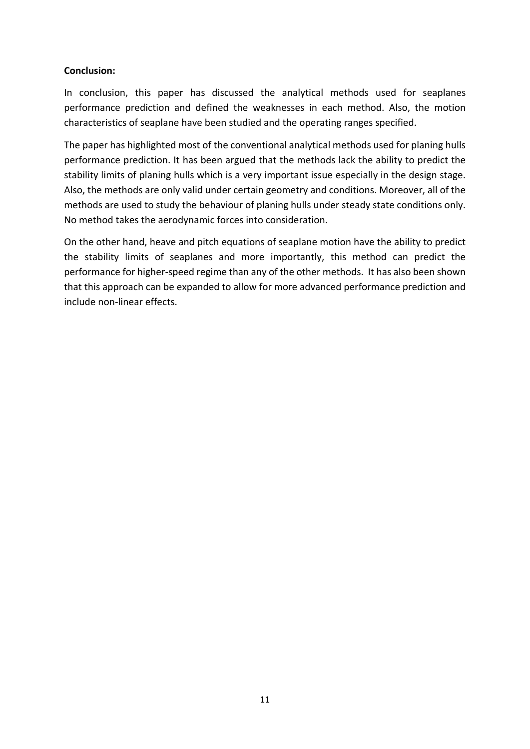## **Conclusion:**

In conclusion, this paper has discussed the analytical methods used for seaplanes performance prediction and defined the weaknesses in each method. Also, the motion characteristics of seaplane have been studied and the operating ranges specified.

The paper has highlighted most of the conventional analytical methods used for planing hulls performance prediction. It has been argued that the methods lack the ability to predict the stability limits of planing hulls which is a very important issue especially in the design stage. Also, the methods are only valid under certain geometry and conditions. Moreover, all of the methods are used to study the behaviour of planing hulls under steady state conditions only. No method takes the aerodynamic forces into consideration.

On the other hand, heave and pitch equations of seaplane motion have the ability to predict the stability limits of seaplanes and more importantly, this method can predict the performance for higher-speed regime than any of the other methods. It has also been shown that this approach can be expanded to allow for more advanced performance prediction and include non-linear effects.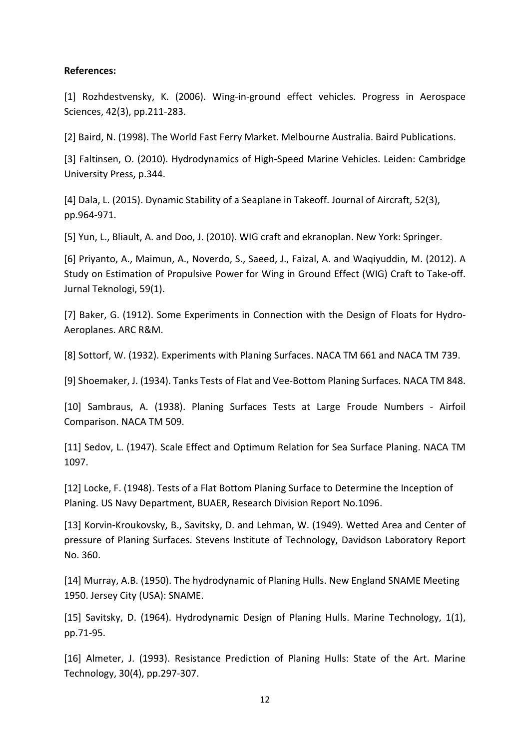### **References:**

[1] Rozhdestvensky, K. (2006). Wing-in-ground effect vehicles. Progress in Aerospace Sciences, 42(3), pp.211-283.

[2] Baird, N. (1998). The World Fast Ferry Market. Melbourne Australia. Baird Publications.

[3] Faltinsen, O. (2010). Hydrodynamics of High-Speed Marine Vehicles. Leiden: Cambridge University Press, p.344.

[4] Dala, L. (2015). Dynamic Stability of a Seaplane in Takeoff. Journal of Aircraft, 52(3), pp.964-971.

[5] Yun, L., Bliault, A. and Doo, J. (2010). WIG craft and ekranoplan. New York: Springer.

[6] Priyanto, A., Maimun, A., Noverdo, S., Saeed, J., Faizal, A. and Waqiyuddin, M. (2012). A Study on Estimation of Propulsive Power for Wing in Ground Effect (WIG) Craft to Take-off. Jurnal Teknologi, 59(1).

[7] Baker, G. (1912). Some Experiments in Connection with the Design of Floats for Hydro-Aeroplanes. ARC R&M.

[8] Sottorf, W. (1932). Experiments with Planing Surfaces. NACA TM 661 and NACA TM 739.

[9] Shoemaker, J. (1934). Tanks Tests of Flat and Vee-Bottom Planing Surfaces. NACA TM 848.

[10] Sambraus, A. (1938). Planing Surfaces Tests at Large Froude Numbers - Airfoil Comparison. NACA TM 509.

[11] Sedov, L. (1947). Scale Effect and Optimum Relation for Sea Surface Planing. NACA TM 1097.

[12] Locke, F. (1948). Tests of a Flat Bottom Planing Surface to Determine the Inception of Planing. US Navy Department, BUAER, Research Division Report No.1096.

[13] Korvin-Kroukovsky, B., Savitsky, D. and Lehman, W. (1949). Wetted Area and Center of pressure of Planing Surfaces. Stevens Institute of Technology, Davidson Laboratory Report No. 360.

[14] Murray, A.B. (1950). The hydrodynamic of Planing Hulls. New England SNAME Meeting 1950. Jersey City (USA): SNAME.

[15] Savitsky, D. (1964). Hydrodynamic Design of Planing Hulls. Marine Technology, 1(1), pp.71-95.

[16] Almeter, J. (1993). Resistance Prediction of Planing Hulls: State of the Art. Marine Technology, 30(4), pp.297-307.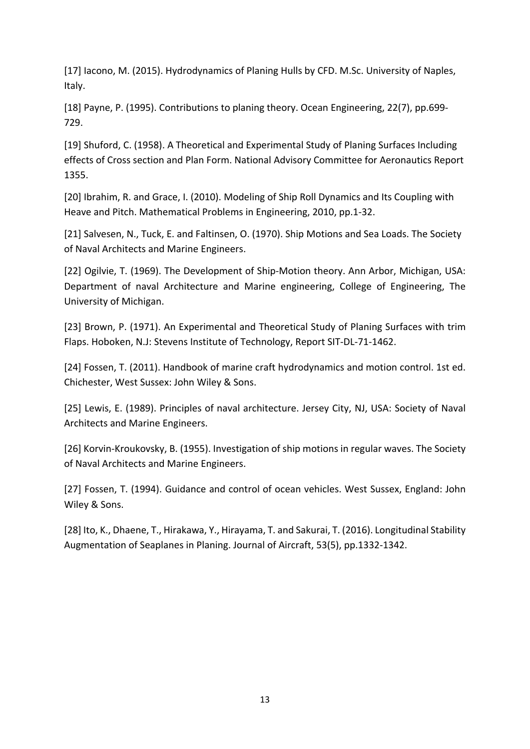[17] Iacono, M. (2015). Hydrodynamics of Planing Hulls by CFD. M.Sc. University of Naples, Italy.

[18] Payne, P. (1995). Contributions to planing theory. Ocean Engineering, 22(7), pp.699- 729.

[19] Shuford, C. (1958). A Theoretical and Experimental Study of Planing Surfaces Including effects of Cross section and Plan Form. National Advisory Committee for Aeronautics Report 1355.

[20] Ibrahim, R. and Grace, I. (2010). Modeling of Ship Roll Dynamics and Its Coupling with Heave and Pitch. Mathematical Problems in Engineering, 2010, pp.1-32.

[21] Salvesen, N., Tuck, E. and Faltinsen, O. (1970). Ship Motions and Sea Loads. The Society of Naval Architects and Marine Engineers.

[22] Ogilvie, T. (1969). The Development of Ship-Motion theory. Ann Arbor, Michigan, USA: Department of naval Architecture and Marine engineering, College of Engineering, The University of Michigan.

[23] Brown, P. (1971). An Experimental and Theoretical Study of Planing Surfaces with trim Flaps. Hoboken, N.J: Stevens Institute of Technology, Report SIT-DL-71-1462.

[24] Fossen, T. (2011). Handbook of marine craft hydrodynamics and motion control. 1st ed. Chichester, West Sussex: John Wiley & Sons.

[25] Lewis, E. (1989). Principles of naval architecture. Jersey City, NJ, USA: Society of Naval Architects and Marine Engineers.

[26] Korvin-Kroukovsky, B. (1955). Investigation of ship motions in regular waves. The Society of Naval Architects and Marine Engineers.

[27] Fossen, T. (1994). Guidance and control of ocean vehicles. West Sussex, England: John Wiley & Sons.

[28] Ito, K., Dhaene, T., Hirakawa, Y., Hirayama, T. and Sakurai, T. (2016). Longitudinal Stability Augmentation of Seaplanes in Planing. Journal of Aircraft, 53(5), pp.1332-1342.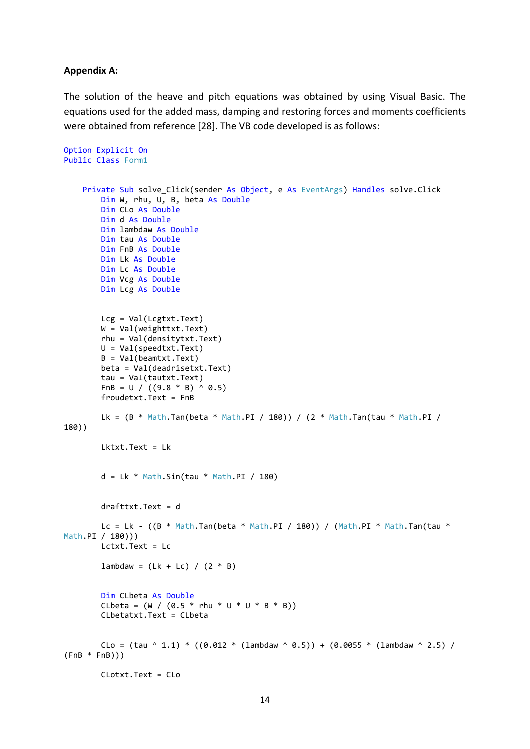#### **Appendix A:**

The solution of the heave and pitch equations was obtained by using Visual Basic. The equations used for the added mass, damping and restoring forces and moments coefficients were obtained from reference [28]. The VB code developed is as follows:

```
Option Explicit On
Public Class Form1
    Private Sub solve Click(sender As Object, e As EventArgs) Handles solve.Click
         Dim W, rhu, U, B, beta As Double
         Dim CLo As Double
         Dim d As Double
         Dim lambdaw As Double
         Dim tau As Double
         Dim FnB As Double
         Dim Lk As Double
         Dim Lc As Double
         Dim Vcg As Double
         Dim Lcg As Double
         Lcg = Val(Lcgtxt.Text)
         W = Val(weighttxt.Text)
         rhu = Val(densitytxt.Text)
         U = Val(speedtxt.Text)
         B = Val(beamtxt.Text)
         beta = Val(deadrisetxt.Text)
         tau = Val(tautxt.Text)
        FnB = U / ((9.8 * B) ^ 0.5) froudetxt.Text = FnB
        Lk = (B * Math.Tan(beta * Math.PI / 180)) / (2 * Math.Tan(tau * Math.PI / 180))180))
         Lktxt.Text = Lk
        d = Lk * Math.Sin(tau * Math.PI / 180) drafttxt.Text = d
        Lc = Lk - ((B * Math.Tan(beta * Math.PI / 180)) / (Math.PI * Math.Tan(tau *Math.PI / 180)))
         Lctxt.Text = Lc
        lambda = (Lk + LC) / (2 * B) Dim CLbeta As Double
        CLbeta = (W / (0.5 * rhu * U * U * B * B)) CLbetatxt.Text = CLbeta
        \text{Clo} = (\text{tau} \land 1.1) * ((0.012 * (\text{lambda} \land 0.5)) + (0.0055 * (\text{lambda} \land 2.5)) /(FnB * FnB)))
         CLotxt.Text = CLo
```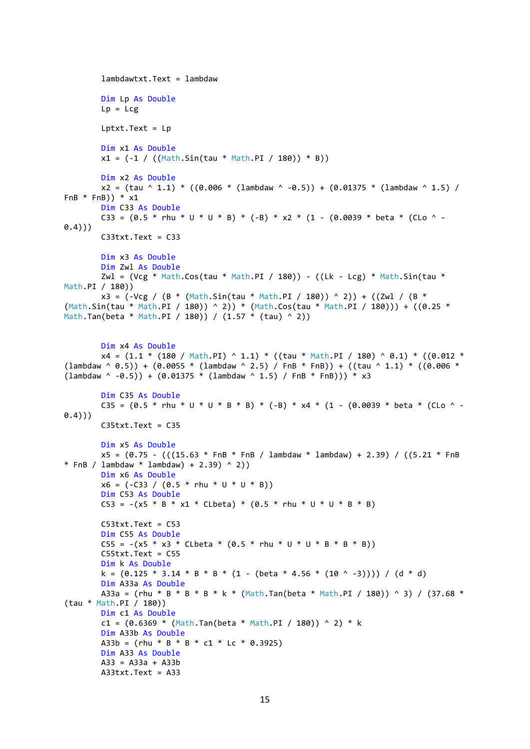```
 lambdawtxt.Text = lambdaw
         Dim Lp As Double
        Lp = Lcg Lptxt.Text = Lp
         Dim x1 As Double
        x1 = (-1 / ((Math.Sin(tau * Math.PI / 180)) * B)) Dim x2 As Double
        x2 = (tau \land 1.1) * ((0.006 * (lambda \land -0.5)) + (0.01375 * (lambda \land \land 1.5))FnB * FnB)) * x1
         Dim C33 As Double
        C33 = (0.5 * \text{rhu} * U * U * B) * (-B) * x2 * (1 - (0.0039 * \text{beta} * (CLo \cdot -0.4)))
         C33txt.Text = C33
         Dim x3 As Double
         Dim Zwl As Double
        Zwl = (Vcg * Math.Cos(tau * Math.PI / 180)) - ((Lk - Lcg) * Math.Sin(tau *Math.PI / 180))
        x3 = (-Vcg / (B * (Math.Sin(tau * Math.PI / 180)) ^ 2)) + ((Zwl / (B *(Math.Sin(tau * Math.PI / 180)) ^ 2)) * (Math.Cos(tau * Math.PI / 180))) + ((0.25 * 
Math.Tan(beta * Math.PI / 180)) / (1.57 * (tau) ^ 2))
         Dim x4 As Double
        x4 = (1.1 * (180 / \text{Math.PI}) ^ 1.1) * ((tau * \text{Math.PI} / 180) ^ 0.1) * ((0.012 *(lambdaw ^ 0.5)) + (0.0055 * (lambdaw ^ 2.5) / FnB * FnB)) + ((tau ^ 1.1) * ((0.006 *(lambdaw \sim -0.5) + (0.01375 * (lambdaw \sim 1.5) / FnB * FnB)) * x3
         Dim C35 As Double
        C35 = (0.5 * \text{rhu} * U * U * B * B) * (-B) * x4 * (1 - (0.0039 * \text{beta} * (CLO \cdot -(0.4))C35txt.Text = C35 Dim x5 As Double
        x5 = (0.75 - (((15.63 * FnB * FnB / lambdaw * lambdaw) + 2.39) / ((5.21 * FnB)* FnB / lambdaw * lambdaw) + 2.39) ^ 2))
         Dim x6 As Double
        x6 = (-C33 / (0.5 * rhu * U * U * B)) Dim C53 As Double
        CS3 = -(x5 * B * x1 * Cleeta) * (0.5 * rhu * U * U * B * B) C53txt.Text = C53
         Dim C55 As Double
        C55 = -(x5 * x3 * CLbeta * (0.5 * rhu * U * U * B * B * B))C55txt.Text = C55 Dim k As Double
        k = (0.125 * 3.14 * B * B * (1 - (beta * 4.56 * (10 ^ -3)))) / (d * d) Dim A33a As Double
        A33a = (rhu * B * B * B * k * (Math.Tan(beta * Math.PI / 180)) ^ 3) / (37.68 *
(tau * Math.PI / 180))
         Dim c1 As Double
        c1 = (0.6369 * (Math.Tan(beta * Math.PI / 180)) ^ 2 * k Dim A33b As Double
        A33b = (rhu * B * B * c1 * Lc * 0.3925)
         Dim A33 As Double
        A33 = A33a + A33b A33txt.Text = A33
```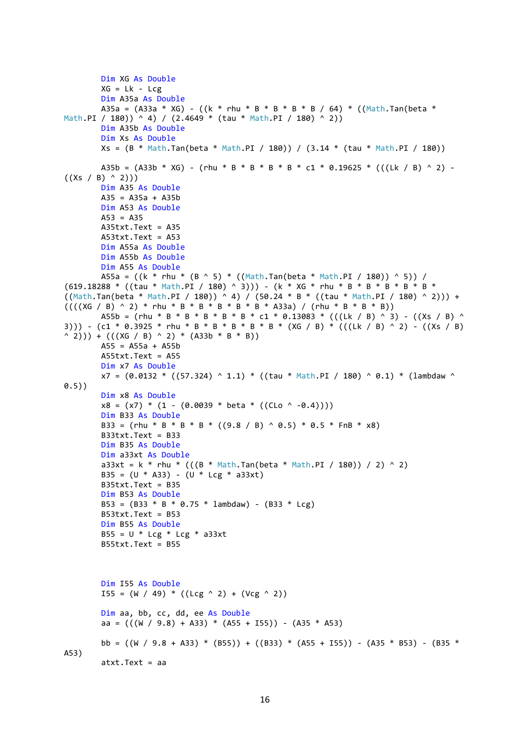```
 Dim XG As Double
        XG = Lk - Lcg Dim A35a As Double
        A35a = (A33a * XG) - ((k * rhu * B * B * B * B / 64) * ((Math.Tan(beta *
Math.PI / 180)) ^ 4) / (2.4649 * (tau * Math.PI / 180) ^ 2) Dim A35b As Double
         Dim Xs As Double
         Xs = (B * Math.Tan(beta * Math.PI / 180)) / (3.14 * (tau * Math.PI / 180))
        A35b = (A33b * XG) - (rhu * B * B * B * B * c1 * 0.19625 * (((Lk / B) ^ 2) -
((Xs / B) ^ 2)) Dim A35 As Double
        A35 = A35a + A35b Dim A53 As Double
        A53 = A35 A35txt.Text = A35
         A53txt.Text = A53
         Dim A55a As Double
         Dim A55b As Double
         Dim A55 As Double
        A55a = ((k * rhu * (B ^ 5) * ((Math.Tan(beta * Math.PI / 180)) ^ 5)) /(619.18288 * ((tau * Math.PI / 180) ^ 3))) - (k * XG * rhu * B * B * B * B * B *((Math.Tan(beta * Math.PI / 180)) ^ A 4) / (50.24 * B * ((tau * Math.PI / 180) ^ A 2))) +((((XG / B) ^ 2) * rhu * B * B * B * B * B * A33a) / (rhu * B * B * B))A55b = (rhu * B * B * B * B * B * c1 * 0.13083 * (((Lk / B) ^ 3) - ((Xs / B) ^
3))) - (c1 * 0.3925 * rhu * B * B * B * B * B * (XG / B) * (((Lk / B) ^ 2) - ((Xs / B)
( (2))) + (((XG / B) ^ 2) * (A33b * B * B))
         A55 = A55a + A55b
        A55txt.Text = A55 Dim x7 As Double
        x7 = (0.0132 * ((57.324) ^ 1.1) * ((tau * Math.PI / 180) ^ 0.1) * (lambda w ^ 0.1))0.5))
         Dim x8 As Double
        x8 = (x7) * (1 - (0.0039 * beta * ((CLo \cdot -0.4)))) Dim B33 As Double
        B33 = (rhu * B * B * B * ((9.8 / B) ^ 0.5) * 0.5 * FnB * x8)
         B33txt.Text = B33
         Dim B35 As Double
         Dim a33xt As Double
        a33xt = k * rhu * (((B * Math.Tan(beta * Math.PI / 180)) / 2) ^ 2)B35 = (U * A33) - (U * Lcg * a33xt) B35txt.Text = B35
         Dim B53 As Double
        B53 = (B33 * B * 0.75 * 1ambdaw) - (B33 * Lce) B53txt.Text = B53
         Dim B55 As Double
        B55 = U * Lcg * Lcg * a33xt B55txt.Text = B55
         Dim I55 As Double
        I55 = (W / 49) * ((Lcg ^ 2) + (Vcg ^ 2))
         Dim aa, bb, cc, dd, ee As Double
        aa = (((\text{W} / 9.8) + A33) * (A55 + I55)) - (A35 * A53)bb = ((W / 9.8 + A33) * (B55)) + ((B33) * (A55 + I55)) - (A35 * B53) - (B35 *A53)
         atxt.Text = aa
```

```
16
```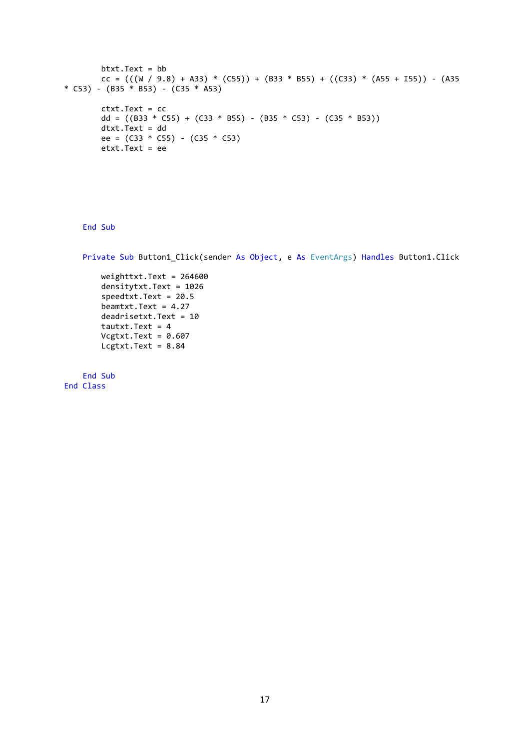```
 btxt.Text = bb
         cc = (((W / 9.8) + A33) * (C55)) + (B33 * B55) + ((C33) * (A55 + I55)) - (A35 
* C53) - (B35 * B53) - (C35 * A53)
         ctxt.Text = cc
        dd = ((B33 * C55) + (C33 * B55) - (B35 * C53) - (C35 * B53)) dtxt.Text = dd
         ee = (C33 * C55) - (C35 * C53)
        \text{text}.Text = ee
```
End Sub

Private Sub Button1\_Click(sender As Object, e As EventArgs) Handles Button1.Click

 weighttxt.Text = 264600 densitytxt.Text = 1026 speedtxt.Text = 20.5 beamtxt.Text = 4.27 deadrisetxt.Text = 10 tautxt.Text =  $4$  $Vcgtxt.Text = 0.607$  $Legtxt.Fext = 8.84$ 

 End Sub End Class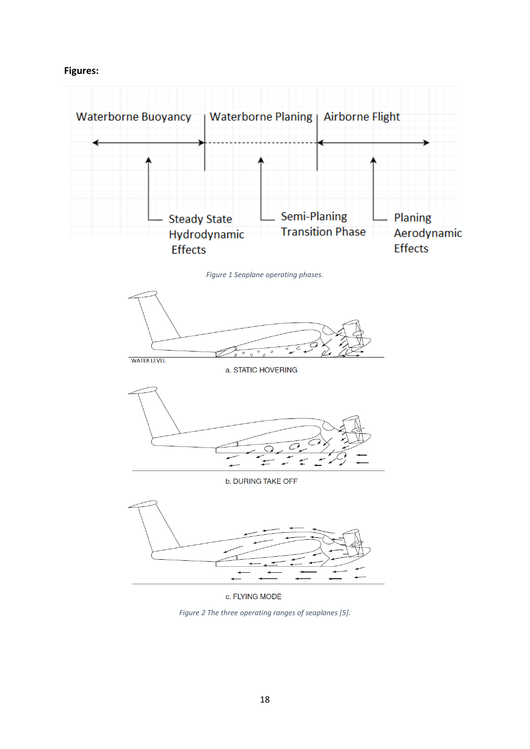**Figures:**



*Figure 1 Seaplane operating phases.*



a. STATIC HOVERING



b. DURING TAKE OFF



c. FLYING MODE

*Figure 2 The three operating ranges of seaplanes [5].*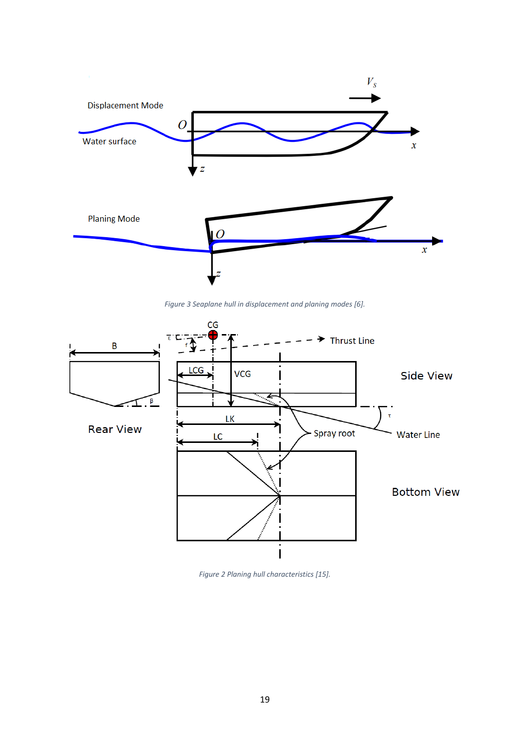

*Figure 3 Seaplane hull in displacement and planing modes [6].*



*Figure 2 Planing hull characteristics [15].*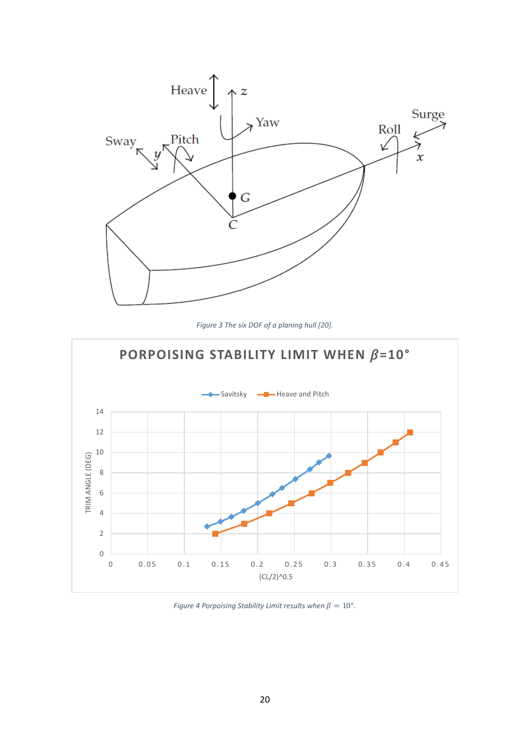

*Figure 3 The six DOF of a planing hull [20].*



*Figure 4 Porpoising Stability Limit results when*  $\beta = 10^{\circ}$ *.*